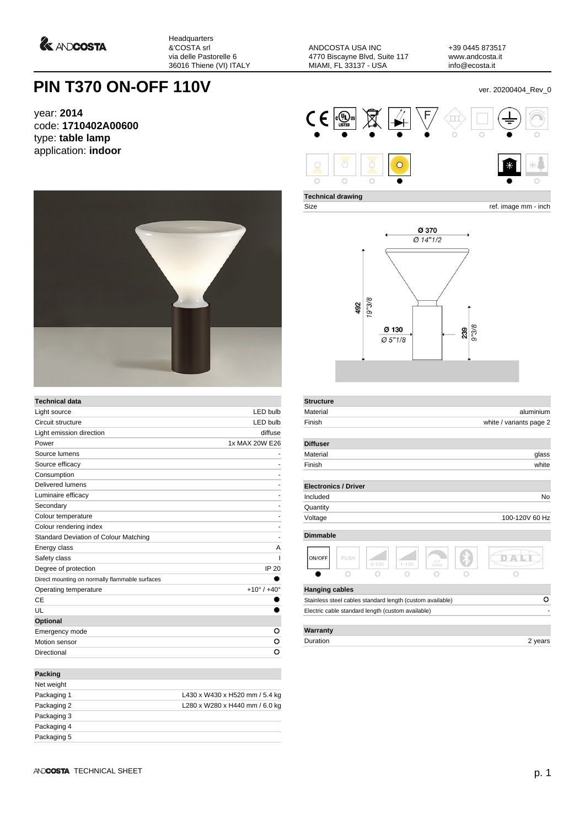*<u>A ANDCOSTA</u>* 

Headquarters &'COSTA srl via delle Pastorelle 6 36016 Thiene (VI) ITALY

ANDCOSTA USA INC 4770 Biscayne Blvd, Suite 117 MIAMI, FL 33137 - USA

+39 0445 873517 www.andcosta.it info@ecosta.it

## **PIN T370 ON-OFF 110V** ver. 20200404\_Rev\_0

year: **2014** code: **1710402A00600** type: **table lamp** application: **indoor**



| <b>Technical data</b>                          |                               |
|------------------------------------------------|-------------------------------|
| Light source                                   | <b>LED bulb</b>               |
| Circuit structure                              | <b>LED bulb</b>               |
| Light emission direction                       | diffuse                       |
| Power                                          | 1x MAX 20W E26                |
| Source lumens                                  |                               |
| Source efficacy                                |                               |
| Consumption                                    | ۰                             |
| Delivered lumens                               |                               |
| Luminaire efficacy                             |                               |
| Secondary                                      |                               |
| Colour temperature                             |                               |
| Colour rendering index                         |                               |
| Standard Deviation of Colour Matching          | ۰                             |
| Energy class                                   | A                             |
| Safety class                                   |                               |
| Degree of protection                           | <b>IP 20</b>                  |
| Direct mounting on normally flammable surfaces |                               |
| Operating temperature                          | $+10^{\circ}$ / $+40^{\circ}$ |
| CE                                             |                               |
| UL                                             |                               |
| Optional                                       |                               |
| Emergency mode                                 | ο                             |
| Motion sensor                                  | o                             |
| Directional                                    | o                             |
| <b>Packing</b>                                 |                               |
| فعامته ومعالما                                 |                               |

| Net weight  |                                |
|-------------|--------------------------------|
| Packaging 1 | L430 x W430 x H520 mm / 5.4 kg |
| Packaging 2 | L280 x W280 x H440 mm / 6.0 kg |
| Packaging 3 |                                |
| Packaging 4 |                                |
| Packaging 5 |                                |
|             |                                |



**Technical drawing**

**Structure**

Size ref. image mm - inch



| Material              |                                                           |           |           |              | aluminium               |
|-----------------------|-----------------------------------------------------------|-----------|-----------|--------------|-------------------------|
| Finish                |                                                           |           |           |              | white / variants page 2 |
| <b>Diffuser</b>       |                                                           |           |           |              |                         |
| Material              |                                                           |           |           |              | glass                   |
| Finish                |                                                           |           |           |              | white                   |
|                       | <b>Electronics / Driver</b>                               |           |           |              |                         |
| Included              |                                                           |           |           |              | No                      |
| Quantity              |                                                           |           |           |              |                         |
| Voltage               |                                                           |           |           |              | 100-120V 60 Hz          |
| <b>Dimmable</b>       |                                                           |           |           |              |                         |
| ON/OFF                | PUSH                                                      | $0 - 10V$ | $1 - 10V$ | CUT<br>PHASE |                         |
|                       |                                                           |           |           |              |                         |
| <b>Hanging cables</b> |                                                           |           |           |              |                         |
|                       | Stainless steel cables standard length (custom available) |           |           |              | o                       |
|                       | Electric cable standard length (custom available)         |           |           |              |                         |
|                       |                                                           |           |           |              |                         |
| Warranty              |                                                           |           |           |              |                         |

Duration 2 years 2 years 2 years 2 years 2 years 2 years 2 years 2 years 2 years 2 years 2 years 2 years 2 years 2 years 2 years 2 years 2 years 2 years 2 years 2 years 2 years 2 years 2 years 2 years 2 years 2 years 2 yea